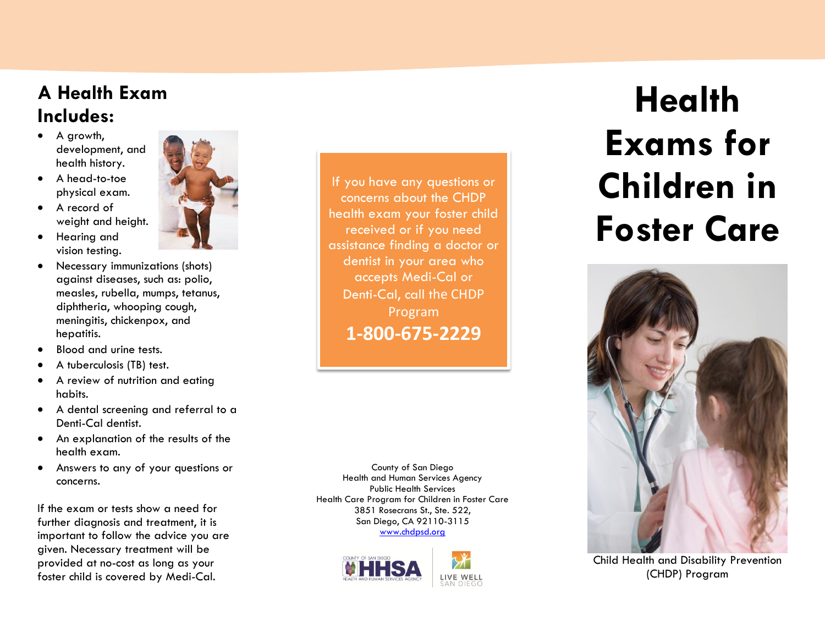## **A Health Exam Includes:**

- A growth, development, and health history.
- A head-to-toe physical exam.
- A record of weight and height.
- Hearing and vision testing.
- Necessary immunizations (shots) against diseases, such as: polio, measles, rubella, mumps, tetanus, diphtheria, whooping cough, meningitis, chickenpox, and hepatitis.
- Blood and urine tests.
- A tuberculosis (TB) test.
- A review of nutrition and eating habits.
- A dental screening and referral to a Denti -Cal dentist.
- An explanation of the results of the health exam.
- Answers to any of your questions or concerns.

If the exam or tests show a need for further diagnosis and treatment, it is important to follow the advice you are given. Necessary treatment will be provided at no -cost as long as your foster child is covered by Medi -Cal.



If you have any questions or concerns about the CHDP health exam your foster child received or if you need assistance finding a doctor or dentist in your area who accepts Medi -Cal or Denti-Cal, call the CHDP Program **1 -800 -675 -2229**

County of San Diego Health and Human Services Agency Public Health Services Health Care Program for Children in Foster Care 3851 Rosecrans St., Ste. 522, San Diego, CA 92110 -3115 [www.chdpsd.org](http://www.chdpsd.org/)





# **Health Exams for Children in Foster Care**



Child Health and Disability Prevention (CHDP) Program